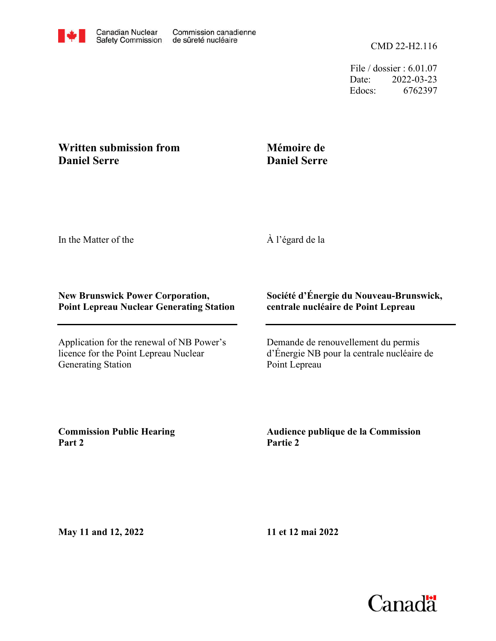File / dossier : 6.01.07 Date: 2022-03-23 Edocs: 6762397

## **Written submission from Daniel Serre**

## **Mémoire de Daniel Serre**

In the Matter of the

À l'égard de la

## **New Brunswick Power Corporation, Point Lepreau Nuclear Generating Station**

Application for the renewal of NB Power's licence for the Point Lepreau Nuclear Generating Station

## **Société d'Énergie du Nouveau-Brunswick, centrale nucléaire de Point Lepreau**

Demande de renouvellement du permis d'Énergie NB pour la centrale nucléaire de Point Lepreau

**Commission Public Hearing Part 2**

**Audience publique de la Commission Partie 2**

**May 11 and 12, 2022**

**11 et 12 mai 2022**

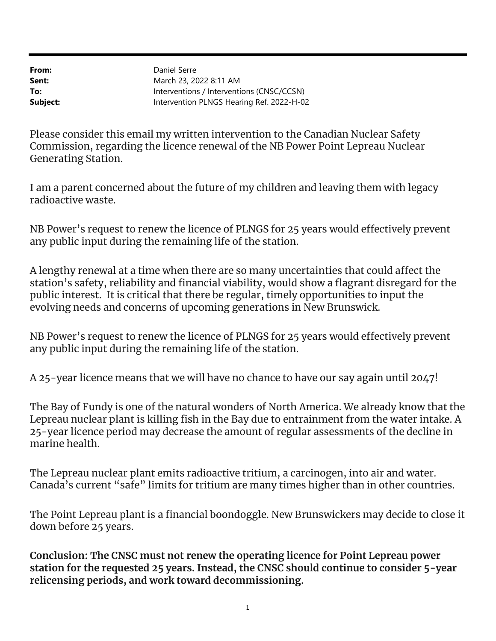From: Sent: To: Subject: Intervention PLNGS Hearing Ref. 2022-H-02 Interventions / Interventions (CNSC/CCSN) March 23, 2022 8:11 AM Daniel Serre

Please consider this email my written intervention to the Canadian Nuclear Safety Commission, regarding the licence renewal of the NB Power Point Lepreau Nuclear Generating Station.

I am a parent concerned about the future of my children and leaving them with legacy radioactive waste.

NB Power's request to renew the licence of PLNGS for 25 years would effectively prevent any public input during the remaining life of the station.

A lengthy renewal at a time when there are so many uncertainties that could affect the station's safety, reliability and financial viability, would show a flagrant disregard for the public interest. It is critical that there be regular, timely opportunities to input the evolving needs and concerns of upcoming generations in New Brunswick.

NB Power's request to renew the licence of PLNGS for 25 years would effectively prevent any public input during the remaining life of the station.

A 25-year licence means that we will have no chance to have our say again until 2047!

The Bay of Fundy is one of the natural wonders of North America. We already know that the Lepreau nuclear plant is killing fish in the Bay due to entrainment from the water intake. A 25-year licence period may decrease the amount of regular assessments of the decline in marine health.

The Lepreau nuclear plant emits radioactive tritium, a carcinogen, into air and water. Canada's current "safe" limits for tritium are many times higher than in other countries.

The Point Lepreau plant is a financial boondoggle. New Brunswickers may decide to close it down before 25 years.

Conclusion: The CNSC must not renew the operating licence for Point Lepreau power station for the requested 25 years. Instead, the CNSC should continue to consider 5-year relicensing periods, and work toward decommissioning.